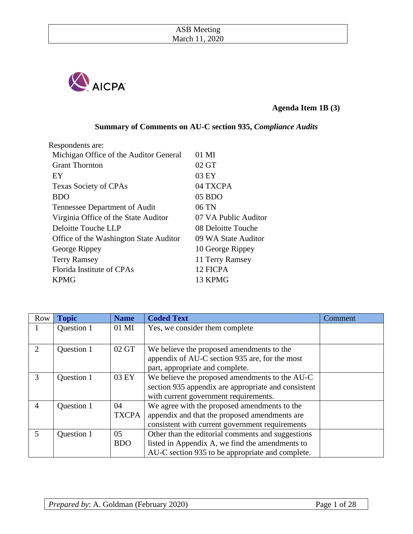

## **Agenda Item 1B (3)**

**Summary of Comments on AU-C section 935,** *Compliance Audits*

| Respondents are:                       |                      |
|----------------------------------------|----------------------|
| Michigan Office of the Auditor General | 01 MI                |
| <b>Grant Thornton</b>                  | 02 GT                |
| EY                                     | 03 EY                |
| <b>Texas Society of CPAs</b>           | 04 TXCPA             |
| <b>BDO</b>                             | 05 BDO               |
| Tennessee Department of Audit          | $06$ TN              |
| Virginia Office of the State Auditor   | 07 VA Public Auditor |
| Deloitte Touche LLP                    | 08 Deloitte Touche   |
| Office of the Washington State Auditor | 09 WA State Auditor  |
| George Rippey                          | 10 George Rippey     |
| <b>Terry Ramsey</b>                    | 11 Terry Ramsey      |
| Florida Institute of CPAs              | 12 FICPA             |
| <b>KPMG</b>                            | 13 KPMG              |

| <b>Row</b>     | <b>Topic</b> | <b>Name</b>  | <b>Coded Text</b>                                   | Comment |
|----------------|--------------|--------------|-----------------------------------------------------|---------|
| $\mathbf{I}$   | Question 1   | 01 MI        | Yes, we consider them complete                      |         |
|                |              |              |                                                     |         |
| $\overline{2}$ | Question 1   | 02 GT        | We believe the proposed amendments to the           |         |
|                |              |              | appendix of AU-C section 935 are, for the most      |         |
|                |              |              | part, appropriate and complete.                     |         |
| 3              | Question 1   | 03 EY        | We believe the proposed amendments to the AU-C      |         |
|                |              |              | section 935 appendix are appropriate and consistent |         |
|                |              |              | with current government requirements.               |         |
| 4              | Question 1   | 04           | We agree with the proposed amendments to the        |         |
|                |              | <b>TXCPA</b> | appendix and that the proposed amendments are       |         |
|                |              |              | consistent with current government requirements     |         |
| $\mathfrak{S}$ | Question 1   | 05           | Other than the editorial comments and suggestions   |         |
|                |              | <b>BDO</b>   | listed in Appendix A, we find the amendments to     |         |
|                |              |              | AU-C section 935 to be appropriate and complete.    |         |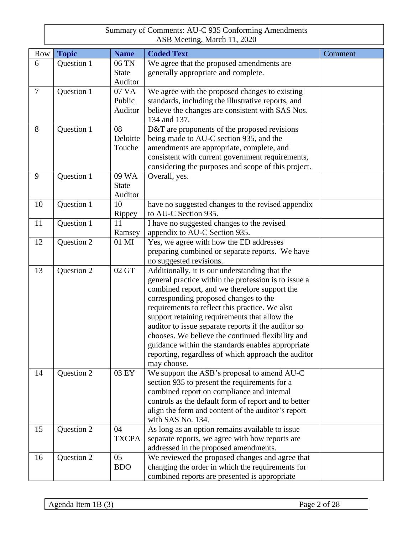| <b>Row</b> | <b>Topic</b> | <b>Name</b>  | <b>Coded Text</b>                                                       | Comment |
|------------|--------------|--------------|-------------------------------------------------------------------------|---------|
| 6          | Question 1   | 06 TN        | We agree that the proposed amendments are                               |         |
|            |              | <b>State</b> | generally appropriate and complete.                                     |         |
|            |              | Auditor      |                                                                         |         |
| $\tau$     | Question 1   | 07 VA        | We agree with the proposed changes to existing                          |         |
|            |              | Public       | standards, including the illustrative reports, and                      |         |
|            |              | Auditor      | believe the changes are consistent with SAS Nos.                        |         |
|            |              |              | 134 and 137.                                                            |         |
| 8          | Question 1   | 08           | D&T are proponents of the proposed revisions                            |         |
|            |              | Deloitte     | being made to AU-C section 935, and the                                 |         |
|            |              | Touche       | amendments are appropriate, complete, and                               |         |
|            |              |              | consistent with current government requirements,                        |         |
|            |              |              | considering the purposes and scope of this project.                     |         |
| 9          | Question 1   | 09 WA        | Overall, yes.                                                           |         |
|            |              | <b>State</b> |                                                                         |         |
|            |              | Auditor      |                                                                         |         |
| 10         | Question 1   | 10           | have no suggested changes to the revised appendix                       |         |
|            |              | Rippey       | to AU-C Section 935.                                                    |         |
| 11         | Question 1   | 11           | I have no suggested changes to the revised                              |         |
|            |              | Ramsey       | appendix to AU-C Section 935.                                           |         |
| 12         | Question 2   | 01 MI        | Yes, we agree with how the ED addresses                                 |         |
|            |              |              | preparing combined or separate reports. We have                         |         |
|            |              |              | no suggested revisions.                                                 |         |
| 13         | Question 2   | 02 GT        | Additionally, it is our understanding that the                          |         |
|            |              |              | general practice within the profession is to issue a                    |         |
|            |              |              | combined report, and we therefore support the                           |         |
|            |              |              | corresponding proposed changes to the                                   |         |
|            |              |              | requirements to reflect this practice. We also                          |         |
|            |              |              | support retaining requirements that allow the                           |         |
|            |              |              | auditor to issue separate reports if the auditor so                     |         |
|            |              |              | chooses. We believe the continued flexibility and                       |         |
|            |              |              | guidance within the standards enables appropriate                       |         |
|            |              |              | reporting, regardless of which approach the auditor                     |         |
|            |              | 03 EY        | may choose.                                                             |         |
| 14         | Question 2   |              | We support the ASB's proposal to amend AU-C                             |         |
|            |              |              | section 935 to present the requirements for a                           |         |
|            |              |              | combined report on compliance and internal                              |         |
|            |              |              | controls as the default form of report and to better                    |         |
|            |              |              | align the form and content of the auditor's report<br>with SAS No. 134. |         |
| 15         | Question 2   | 04           | As long as an option remains available to issue                         |         |
|            |              | <b>TXCPA</b> | separate reports, we agree with how reports are                         |         |
|            |              |              | addressed in the proposed amendments.                                   |         |
| 16         | Question 2   | 05           | We reviewed the proposed changes and agree that                         |         |
|            |              | <b>BDO</b>   | changing the order in which the requirements for                        |         |
|            |              |              | combined reports are presented is appropriate                           |         |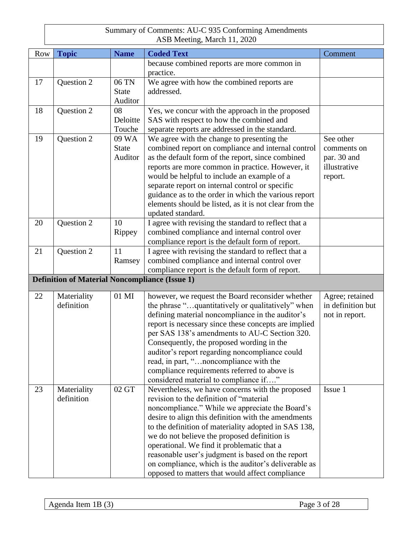| Row | <b>Topic</b>                                          | <b>Name</b>  | <b>Coded Text</b>                                      | Comment           |
|-----|-------------------------------------------------------|--------------|--------------------------------------------------------|-------------------|
|     |                                                       |              | because combined reports are more common in            |                   |
|     |                                                       |              | practice.                                              |                   |
| 17  | Question 2                                            | 06 TN        | We agree with how the combined reports are             |                   |
|     |                                                       | <b>State</b> | addressed.                                             |                   |
|     |                                                       | Auditor      |                                                        |                   |
| 18  | Question 2                                            | 08           | Yes, we concur with the approach in the proposed       |                   |
|     |                                                       | Deloitte     | SAS with respect to how the combined and               |                   |
|     |                                                       | Touche       | separate reports are addressed in the standard.        |                   |
| 19  | Question 2                                            | 09 WA        | We agree with the change to presenting the             | See other         |
|     |                                                       | <b>State</b> | combined report on compliance and internal control     | comments on       |
|     |                                                       | Auditor      | as the default form of the report, since combined      | par. 30 and       |
|     |                                                       |              | reports are more common in practice. However, it       | illustrative      |
|     |                                                       |              | would be helpful to include an example of a            | report.           |
|     |                                                       |              | separate report on internal control or specific        |                   |
|     |                                                       |              | guidance as to the order in which the various report   |                   |
|     |                                                       |              | elements should be listed, as it is not clear from the |                   |
|     |                                                       |              | updated standard.                                      |                   |
| 20  | Question 2                                            | 10           | I agree with revising the standard to reflect that a   |                   |
|     |                                                       | Rippey       | combined compliance and internal control over          |                   |
|     |                                                       |              | compliance report is the default form of report.       |                   |
| 21  | Question 2                                            | 11           | I agree with revising the standard to reflect that a   |                   |
|     |                                                       | Ramsey       | combined compliance and internal control over          |                   |
|     |                                                       |              | compliance report is the default form of report.       |                   |
|     | <b>Definition of Material Noncompliance (Issue 1)</b> |              |                                                        |                   |
| 22  | Materiality                                           | 01 MI        | however, we request the Board reconsider whether       | Agree; retained   |
|     | definition                                            |              | the phrase "quantitatively or qualitatively" when      | in definition but |
|     |                                                       |              | defining material noncompliance in the auditor's       | not in report.    |
|     |                                                       |              | report is necessary since these concepts are implied   |                   |
|     |                                                       |              | per SAS 138's amendments to AU-C Section 320.          |                   |
|     |                                                       |              | Consequently, the proposed wording in the              |                   |
|     |                                                       |              | auditor's report regarding noncompliance could         |                   |
|     |                                                       |              | read, in part, "noncompliance with the                 |                   |
|     |                                                       |              | compliance requirements referred to above is           |                   |
|     |                                                       |              | considered material to compliance if"                  |                   |
| 23  | Materiality                                           | 02 GT        | Nevertheless, we have concerns with the proposed       | Issue 1           |
|     | definition                                            |              | revision to the definition of "material"               |                   |
|     |                                                       |              | noncompliance." While we appreciate the Board's        |                   |
|     |                                                       |              | desire to align this definition with the amendments    |                   |
|     |                                                       |              | to the definition of materiality adopted in SAS 138,   |                   |
|     |                                                       |              | we do not believe the proposed definition is           |                   |
|     |                                                       |              | operational. We find it problematic that a             |                   |
|     |                                                       |              | reasonable user's judgment is based on the report      |                   |
|     |                                                       |              | on compliance, which is the auditor's deliverable as   |                   |
|     |                                                       |              | opposed to matters that would affect compliance        |                   |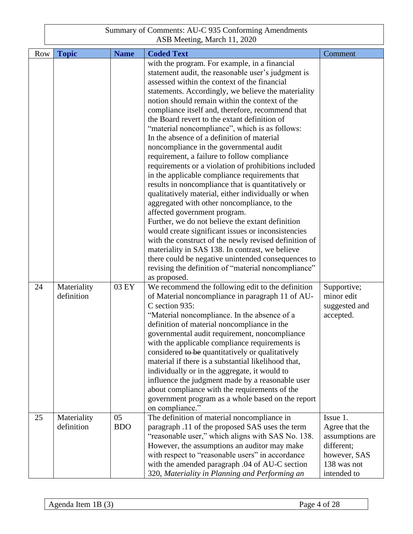| <b>Row</b> | <b>Topic</b>              | <b>Name</b>      | <b>Coded Text</b>                                                                                                                                                                                                                                                                                                                                                                                                                                                                                                                                                                              | Comment                                                                                    |
|------------|---------------------------|------------------|------------------------------------------------------------------------------------------------------------------------------------------------------------------------------------------------------------------------------------------------------------------------------------------------------------------------------------------------------------------------------------------------------------------------------------------------------------------------------------------------------------------------------------------------------------------------------------------------|--------------------------------------------------------------------------------------------|
|            |                           |                  | with the program. For example, in a financial                                                                                                                                                                                                                                                                                                                                                                                                                                                                                                                                                  |                                                                                            |
|            |                           |                  | statement audit, the reasonable user's judgment is                                                                                                                                                                                                                                                                                                                                                                                                                                                                                                                                             |                                                                                            |
|            |                           |                  | assessed within the context of the financial                                                                                                                                                                                                                                                                                                                                                                                                                                                                                                                                                   |                                                                                            |
|            |                           |                  | statements. Accordingly, we believe the materiality                                                                                                                                                                                                                                                                                                                                                                                                                                                                                                                                            |                                                                                            |
|            |                           |                  | notion should remain within the context of the                                                                                                                                                                                                                                                                                                                                                                                                                                                                                                                                                 |                                                                                            |
|            |                           |                  | compliance itself and, therefore, recommend that                                                                                                                                                                                                                                                                                                                                                                                                                                                                                                                                               |                                                                                            |
|            |                           |                  | the Board revert to the extant definition of                                                                                                                                                                                                                                                                                                                                                                                                                                                                                                                                                   |                                                                                            |
|            |                           |                  | "material noncompliance", which is as follows:                                                                                                                                                                                                                                                                                                                                                                                                                                                                                                                                                 |                                                                                            |
|            |                           |                  | In the absence of a definition of material                                                                                                                                                                                                                                                                                                                                                                                                                                                                                                                                                     |                                                                                            |
|            |                           |                  | noncompliance in the governmental audit                                                                                                                                                                                                                                                                                                                                                                                                                                                                                                                                                        |                                                                                            |
|            |                           |                  | requirement, a failure to follow compliance                                                                                                                                                                                                                                                                                                                                                                                                                                                                                                                                                    |                                                                                            |
|            |                           |                  | requirements or a violation of prohibitions included                                                                                                                                                                                                                                                                                                                                                                                                                                                                                                                                           |                                                                                            |
|            |                           |                  | in the applicable compliance requirements that                                                                                                                                                                                                                                                                                                                                                                                                                                                                                                                                                 |                                                                                            |
|            |                           |                  | results in noncompliance that is quantitatively or                                                                                                                                                                                                                                                                                                                                                                                                                                                                                                                                             |                                                                                            |
|            |                           |                  | qualitatively material, either individually or when                                                                                                                                                                                                                                                                                                                                                                                                                                                                                                                                            |                                                                                            |
|            |                           |                  | aggregated with other noncompliance, to the                                                                                                                                                                                                                                                                                                                                                                                                                                                                                                                                                    |                                                                                            |
|            |                           |                  | affected government program.<br>Further, we do not believe the extant definition                                                                                                                                                                                                                                                                                                                                                                                                                                                                                                               |                                                                                            |
|            |                           |                  | would create significant issues or inconsistencies                                                                                                                                                                                                                                                                                                                                                                                                                                                                                                                                             |                                                                                            |
|            |                           |                  | with the construct of the newly revised definition of                                                                                                                                                                                                                                                                                                                                                                                                                                                                                                                                          |                                                                                            |
|            |                           |                  | materiality in SAS 138. In contrast, we believe                                                                                                                                                                                                                                                                                                                                                                                                                                                                                                                                                |                                                                                            |
|            |                           |                  | there could be negative unintended consequences to                                                                                                                                                                                                                                                                                                                                                                                                                                                                                                                                             |                                                                                            |
|            |                           |                  | revising the definition of "material noncompliance"                                                                                                                                                                                                                                                                                                                                                                                                                                                                                                                                            |                                                                                            |
|            |                           |                  | as proposed.                                                                                                                                                                                                                                                                                                                                                                                                                                                                                                                                                                                   |                                                                                            |
| 24         | Materiality               | 03 EY            | We recommend the following edit to the definition                                                                                                                                                                                                                                                                                                                                                                                                                                                                                                                                              | Supportive;                                                                                |
|            | definition                |                  | of Material noncompliance in paragraph 11 of AU-                                                                                                                                                                                                                                                                                                                                                                                                                                                                                                                                               | minor edit                                                                                 |
|            |                           |                  | C section 935:                                                                                                                                                                                                                                                                                                                                                                                                                                                                                                                                                                                 | suggested and                                                                              |
|            |                           |                  | "Material noncompliance. In the absence of a                                                                                                                                                                                                                                                                                                                                                                                                                                                                                                                                                   | accepted.                                                                                  |
|            |                           |                  | definition of material noncompliance in the                                                                                                                                                                                                                                                                                                                                                                                                                                                                                                                                                    |                                                                                            |
|            |                           |                  | governmental audit requirement, noncompliance                                                                                                                                                                                                                                                                                                                                                                                                                                                                                                                                                  |                                                                                            |
|            |                           |                  | with the applicable compliance requirements is                                                                                                                                                                                                                                                                                                                                                                                                                                                                                                                                                 |                                                                                            |
|            |                           |                  | considered to be quantitatively or qualitatively                                                                                                                                                                                                                                                                                                                                                                                                                                                                                                                                               |                                                                                            |
|            |                           |                  |                                                                                                                                                                                                                                                                                                                                                                                                                                                                                                                                                                                                |                                                                                            |
|            |                           |                  |                                                                                                                                                                                                                                                                                                                                                                                                                                                                                                                                                                                                |                                                                                            |
|            |                           |                  |                                                                                                                                                                                                                                                                                                                                                                                                                                                                                                                                                                                                |                                                                                            |
|            |                           |                  |                                                                                                                                                                                                                                                                                                                                                                                                                                                                                                                                                                                                |                                                                                            |
|            |                           |                  |                                                                                                                                                                                                                                                                                                                                                                                                                                                                                                                                                                                                |                                                                                            |
|            |                           |                  |                                                                                                                                                                                                                                                                                                                                                                                                                                                                                                                                                                                                |                                                                                            |
|            |                           |                  |                                                                                                                                                                                                                                                                                                                                                                                                                                                                                                                                                                                                |                                                                                            |
|            |                           |                  |                                                                                                                                                                                                                                                                                                                                                                                                                                                                                                                                                                                                |                                                                                            |
|            |                           |                  |                                                                                                                                                                                                                                                                                                                                                                                                                                                                                                                                                                                                |                                                                                            |
|            |                           |                  |                                                                                                                                                                                                                                                                                                                                                                                                                                                                                                                                                                                                |                                                                                            |
|            |                           |                  |                                                                                                                                                                                                                                                                                                                                                                                                                                                                                                                                                                                                |                                                                                            |
|            |                           |                  | 320, Materiality in Planning and Performing an                                                                                                                                                                                                                                                                                                                                                                                                                                                                                                                                                 | intended to                                                                                |
| 25         | Materiality<br>definition | 05<br><b>BDO</b> | material if there is a substantial likelihood that,<br>individually or in the aggregate, it would to<br>influence the judgment made by a reasonable user<br>about compliance with the requirements of the<br>government program as a whole based on the report<br>on compliance."<br>The definition of material noncompliance in<br>paragraph .11 of the proposed SAS uses the term<br>"reasonable user," which aligns with SAS No. 138.<br>However, the assumptions an auditor may make<br>with respect to "reasonable users" in accordance<br>with the amended paragraph .04 of AU-C section | Issue 1.<br>Agree that the<br>assumptions are<br>different;<br>however, SAS<br>138 was not |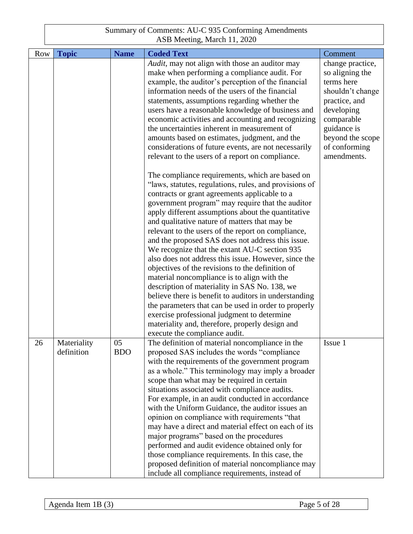| <b>Row</b> | <b>Topic</b> | <b>Name</b> | <b>Coded Text</b>                                      | Comment          |
|------------|--------------|-------------|--------------------------------------------------------|------------------|
|            |              |             | Audit, may not align with those an auditor may         | change practice, |
|            |              |             | make when performing a compliance audit. For           | so aligning the  |
|            |              |             | example, the auditor's perception of the financial     | terms here       |
|            |              |             | information needs of the users of the financial        | shouldn't change |
|            |              |             | statements, assumptions regarding whether the          | practice, and    |
|            |              |             | users have a reasonable knowledge of business and      | developing       |
|            |              |             | economic activities and accounting and recognizing     | comparable       |
|            |              |             | the uncertainties inherent in measurement of           | guidance is      |
|            |              |             | amounts based on estimates, judgment, and the          | beyond the scope |
|            |              |             | considerations of future events, are not necessarily   | of conforming    |
|            |              |             | relevant to the users of a report on compliance.       | amendments.      |
|            |              |             |                                                        |                  |
|            |              |             | The compliance requirements, which are based on        |                  |
|            |              |             | "laws, statutes, regulations, rules, and provisions of |                  |
|            |              |             | contracts or grant agreements applicable to a          |                  |
|            |              |             | government program" may require that the auditor       |                  |
|            |              |             | apply different assumptions about the quantitative     |                  |
|            |              |             | and qualitative nature of matters that may be          |                  |
|            |              |             | relevant to the users of the report on compliance,     |                  |
|            |              |             | and the proposed SAS does not address this issue.      |                  |
|            |              |             | We recognize that the extant AU-C section 935          |                  |
|            |              |             | also does not address this issue. However, since the   |                  |
|            |              |             | objectives of the revisions to the definition of       |                  |
|            |              |             | material noncompliance is to align with the            |                  |
|            |              |             | description of materiality in SAS No. 138, we          |                  |
|            |              |             | believe there is benefit to auditors in understanding  |                  |
|            |              |             | the parameters that can be used in order to properly   |                  |
|            |              |             | exercise professional judgment to determine            |                  |
|            |              |             | materiality and, therefore, properly design and        |                  |
|            |              |             | execute the compliance audit.                          |                  |
| 26         | Materiality  | 05          | The definition of material noncompliance in the        | Issue 1          |
|            | definition   | <b>BDO</b>  | proposed SAS includes the words "compliance"           |                  |
|            |              |             | with the requirements of the government program        |                  |
|            |              |             | as a whole." This terminology may imply a broader      |                  |
|            |              |             | scope than what may be required in certain             |                  |
|            |              |             | situations associated with compliance audits.          |                  |
|            |              |             | For example, in an audit conducted in accordance       |                  |
|            |              |             | with the Uniform Guidance, the auditor issues an       |                  |
|            |              |             | opinion on compliance with requirements "that          |                  |
|            |              |             | may have a direct and material effect on each of its   |                  |
|            |              |             | major programs" based on the procedures                |                  |
|            |              |             | performed and audit evidence obtained only for         |                  |
|            |              |             | those compliance requirements. In this case, the       |                  |
|            |              |             | proposed definition of material noncompliance may      |                  |
|            |              |             | include all compliance requirements, instead of        |                  |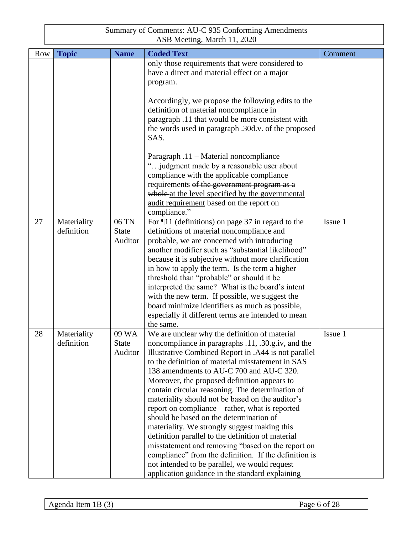| Row | <b>Topic</b>              | <b>Name</b>                      | <b>Coded Text</b>                                                                                                                                                                                                                                                                                                                                                                                                                                                                                                                                                                                                                                                                                                                                                                                                                         | Comment |
|-----|---------------------------|----------------------------------|-------------------------------------------------------------------------------------------------------------------------------------------------------------------------------------------------------------------------------------------------------------------------------------------------------------------------------------------------------------------------------------------------------------------------------------------------------------------------------------------------------------------------------------------------------------------------------------------------------------------------------------------------------------------------------------------------------------------------------------------------------------------------------------------------------------------------------------------|---------|
|     |                           |                                  | only those requirements that were considered to<br>have a direct and material effect on a major<br>program.                                                                                                                                                                                                                                                                                                                                                                                                                                                                                                                                                                                                                                                                                                                               |         |
|     |                           |                                  | Accordingly, we propose the following edits to the<br>definition of material noncompliance in<br>paragraph .11 that would be more consistent with<br>the words used in paragraph .30d.v. of the proposed<br>SAS.                                                                                                                                                                                                                                                                                                                                                                                                                                                                                                                                                                                                                          |         |
|     |                           |                                  | Paragraph .11 – Material noncompliance<br>"judgment made by a reasonable user about<br>compliance with the applicable compliance<br>requirements of the government program as a<br>whole at the level specified by the governmental<br>audit requirement based on the report on<br>compliance."                                                                                                                                                                                                                                                                                                                                                                                                                                                                                                                                           |         |
| 27  | Materiality<br>definition | 06 TN<br><b>State</b><br>Auditor | For $\P$ 11 (definitions) on page 37 in regard to the<br>definitions of material noncompliance and<br>probable, we are concerned with introducing<br>another modifier such as "substantial likelihood"<br>because it is subjective without more clarification<br>in how to apply the term. Is the term a higher<br>threshold than "probable" or should it be<br>interpreted the same? What is the board's intent<br>with the new term. If possible, we suggest the<br>board minimize identifiers as much as possible,<br>especially if different terms are intended to mean<br>the same.                                                                                                                                                                                                                                                  | Issue 1 |
| 28  | Materiality<br>definition | 09 WA<br><b>State</b><br>Auditor | We are unclear why the definition of material<br>noncompliance in paragraphs .11, .30.g.iv, and the<br>Illustrative Combined Report in .A44 is not parallel<br>to the definition of material misstatement in SAS<br>138 amendments to AU-C 700 and AU-C 320.<br>Moreover, the proposed definition appears to<br>contain circular reasoning. The determination of<br>materiality should not be based on the auditor's<br>report on compliance – rather, what is reported<br>should be based on the determination of<br>materiality. We strongly suggest making this<br>definition parallel to the definition of material<br>misstatement and removing "based on the report on<br>compliance" from the definition. If the definition is<br>not intended to be parallel, we would request<br>application guidance in the standard explaining | Issue 1 |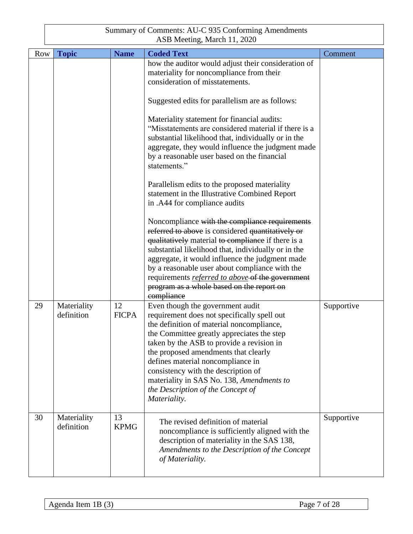| <b>Row</b> | <b>Topic</b>              | <b>Name</b>        | <b>Coded Text</b>                                                                                                                                                                                                                                                                                                                                                                                                                             | Comment    |
|------------|---------------------------|--------------------|-----------------------------------------------------------------------------------------------------------------------------------------------------------------------------------------------------------------------------------------------------------------------------------------------------------------------------------------------------------------------------------------------------------------------------------------------|------------|
|            |                           |                    | how the auditor would adjust their consideration of                                                                                                                                                                                                                                                                                                                                                                                           |            |
|            |                           |                    | materiality for noncompliance from their                                                                                                                                                                                                                                                                                                                                                                                                      |            |
|            |                           |                    | consideration of misstatements.                                                                                                                                                                                                                                                                                                                                                                                                               |            |
|            |                           |                    | Suggested edits for parallelism are as follows:                                                                                                                                                                                                                                                                                                                                                                                               |            |
|            |                           |                    | Materiality statement for financial audits:<br>"Misstatements are considered material if there is a<br>substantial likelihood that, individually or in the<br>aggregate, they would influence the judgment made<br>by a reasonable user based on the financial<br>statements."                                                                                                                                                                |            |
|            |                           |                    | Parallelism edits to the proposed materiality<br>statement in the Illustrative Combined Report<br>in .A44 for compliance audits                                                                                                                                                                                                                                                                                                               |            |
|            |                           |                    | Noncompliance with the compliance requirements<br>referred to above is considered quantitatively or<br>qualitatively material to compliance if there is a<br>substantial likelihood that, individually or in the<br>aggregate, it would influence the judgment made<br>by a reasonable user about compliance with the<br>requirements referred to above of the government<br>program as a whole based on the report on<br>compliance          |            |
| 29         | Materiality<br>definition | 12<br><b>FICPA</b> | Even though the government audit<br>requirement does not specifically spell out<br>the definition of material noncompliance,<br>the Committee greatly appreciates the step<br>taken by the ASB to provide a revision in<br>the proposed amendments that clearly<br>defines material noncompliance in<br>consistency with the description of<br>materiality in SAS No. 138, Amendments to<br>the Description of the Concept of<br>Materiality. | Supportive |
| 30         | Materiality<br>definition | 13<br><b>KPMG</b>  | The revised definition of material<br>noncompliance is sufficiently aligned with the<br>description of materiality in the SAS 138,<br>Amendments to the Description of the Concept<br>of Materiality.                                                                                                                                                                                                                                         | Supportive |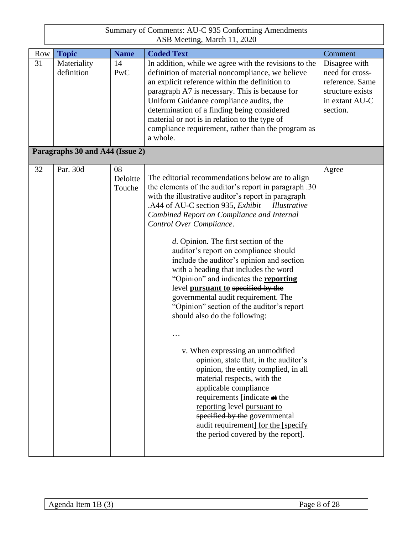|            | Summary of Comments: AU-C 935 Conforming Amendments<br>ASB Meeting, March 11, 2020 |                          |                                                                                                                                                                                                                                                                                                                                                                                                                                                                                                                                                                                                                                                                                                                                                                                                                                                                                                                                                                                                                                                  |                                                                                                       |  |  |
|------------|------------------------------------------------------------------------------------|--------------------------|--------------------------------------------------------------------------------------------------------------------------------------------------------------------------------------------------------------------------------------------------------------------------------------------------------------------------------------------------------------------------------------------------------------------------------------------------------------------------------------------------------------------------------------------------------------------------------------------------------------------------------------------------------------------------------------------------------------------------------------------------------------------------------------------------------------------------------------------------------------------------------------------------------------------------------------------------------------------------------------------------------------------------------------------------|-------------------------------------------------------------------------------------------------------|--|--|
| <b>Row</b> | <b>Topic</b>                                                                       | <b>Name</b>              | <b>Coded Text</b>                                                                                                                                                                                                                                                                                                                                                                                                                                                                                                                                                                                                                                                                                                                                                                                                                                                                                                                                                                                                                                | Comment                                                                                               |  |  |
| 31         | Materiality<br>definition                                                          | 14<br>PwC                | In addition, while we agree with the revisions to the<br>definition of material noncompliance, we believe<br>an explicit reference within the definition to<br>paragraph A7 is necessary. This is because for<br>Uniform Guidance compliance audits, the<br>determination of a finding being considered<br>material or not is in relation to the type of<br>compliance requirement, rather than the program as<br>a whole.                                                                                                                                                                                                                                                                                                                                                                                                                                                                                                                                                                                                                       | Disagree with<br>need for cross-<br>reference. Same<br>structure exists<br>in extant AU-C<br>section. |  |  |
|            | Paragraphs 30 and A44 (Issue 2)                                                    |                          |                                                                                                                                                                                                                                                                                                                                                                                                                                                                                                                                                                                                                                                                                                                                                                                                                                                                                                                                                                                                                                                  |                                                                                                       |  |  |
| 32         | Par. 30d                                                                           | 08<br>Deloitte<br>Touche | The editorial recommendations below are to align<br>the elements of the auditor's report in paragraph .30<br>with the illustrative auditor's report in paragraph<br>.A44 of AU-C section 935, Exhibit - Illustrative<br>Combined Report on Compliance and Internal<br>Control Over Compliance.<br>d. Opinion. The first section of the<br>auditor's report on compliance should<br>include the auditor's opinion and section<br>with a heading that includes the word<br>"Opinion" and indicates the <b>reporting</b><br>level pursuant to specified by the<br>governmental audit requirement. The<br>"Opinion" section of the auditor's report<br>should also do the following:<br>.<br>v. When expressing an unmodified<br>opinion, state that, in the auditor's<br>opinion, the entity complied, in all<br>material respects, with the<br>applicable compliance<br>requirements [indicate at the<br>reporting level pursuant to<br>specified by the governmental<br>audit requirement] for the [specify]<br>the period covered by the report. | Agree                                                                                                 |  |  |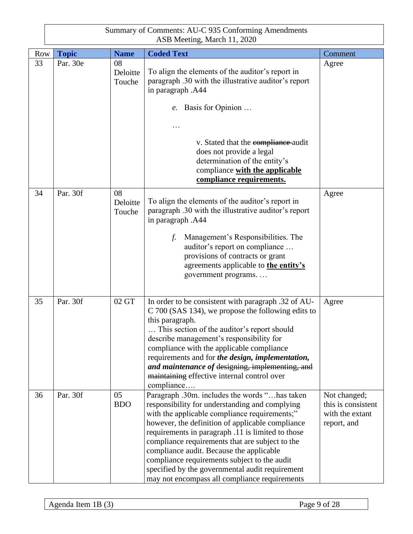| Summary of Comments: AU-C 935 Conforming Amendments |
|-----------------------------------------------------|
| ASB Meeting, March 11, 2020                         |

| <b>Row</b> | <b>Topic</b> | <b>Name</b>              | <b>Coded Text</b>                                                                                                                                                                                                                                                                                                                                                                                                                                                                                            | Comment                                                              |
|------------|--------------|--------------------------|--------------------------------------------------------------------------------------------------------------------------------------------------------------------------------------------------------------------------------------------------------------------------------------------------------------------------------------------------------------------------------------------------------------------------------------------------------------------------------------------------------------|----------------------------------------------------------------------|
| 33         | Par. 30e     | 08<br>Deloitte<br>Touche | To align the elements of the auditor's report in<br>paragraph .30 with the illustrative auditor's report<br>in paragraph .A44<br>e. Basis for Opinion                                                                                                                                                                                                                                                                                                                                                        | Agree                                                                |
|            |              |                          | v. Stated that the compliance audit<br>does not provide a legal<br>determination of the entity's<br>compliance with the applicable<br>compliance requirements.                                                                                                                                                                                                                                                                                                                                               |                                                                      |
| 34         | Par. 30f     | 08<br>Deloitte<br>Touche | To align the elements of the auditor's report in<br>paragraph .30 with the illustrative auditor's report<br>in paragraph .A44<br>Management's Responsibilities. The<br>f.<br>auditor's report on compliance<br>provisions of contracts or grant<br>agreements applicable to the entity's<br>government programs                                                                                                                                                                                              | Agree                                                                |
| 35         | Par. 30f     | 02 GT                    | In order to be consistent with paragraph .32 of AU-<br>C 700 (SAS 134), we propose the following edits to<br>this paragraph.<br>This section of the auditor's report should<br>describe management's responsibility for<br>compliance with the applicable compliance<br>requirements and for the design, implementation,<br>and maintenance of designing, implementing, and<br>maintaining effective internal control over<br>compliance                                                                     | Agree                                                                |
| 36         | Par. 30f     | 05<br><b>BDO</b>         | Paragraph .30m. includes the words "has taken<br>responsibility for understanding and complying<br>with the applicable compliance requirements;"<br>however, the definition of applicable compliance<br>requirements in paragraph .11 is limited to those<br>compliance requirements that are subject to the<br>compliance audit. Because the applicable<br>compliance requirements subject to the audit<br>specified by the governmental audit requirement<br>may not encompass all compliance requirements | Not changed;<br>this is consistent<br>with the extant<br>report, and |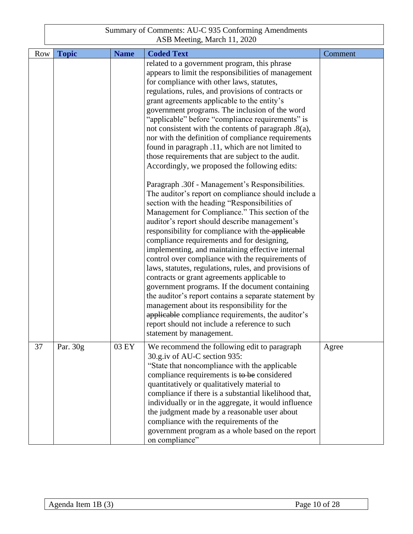| <b>Row</b> | <b>Topic</b> | <b>Name</b> | <b>Coded Text</b>                                                                                                                                                                                                                                                                                                                                                                                                                                                                                                                                                                                                                                                                                                                                                                                                                                                           | Comment |
|------------|--------------|-------------|-----------------------------------------------------------------------------------------------------------------------------------------------------------------------------------------------------------------------------------------------------------------------------------------------------------------------------------------------------------------------------------------------------------------------------------------------------------------------------------------------------------------------------------------------------------------------------------------------------------------------------------------------------------------------------------------------------------------------------------------------------------------------------------------------------------------------------------------------------------------------------|---------|
|            |              |             | related to a government program, this phrase<br>appears to limit the responsibilities of management<br>for compliance with other laws, statutes,<br>regulations, rules, and provisions of contracts or<br>grant agreements applicable to the entity's<br>government programs. The inclusion of the word<br>"applicable" before "compliance requirements" is<br>not consistent with the contents of paragraph .8(a),<br>nor with the definition of compliance requirements<br>found in paragraph .11, which are not limited to<br>those requirements that are subject to the audit.<br>Accordingly, we proposed the following edits:                                                                                                                                                                                                                                         |         |
|            |              |             | Paragraph .30f - Management's Responsibilities.<br>The auditor's report on compliance should include a<br>section with the heading "Responsibilities of<br>Management for Compliance." This section of the<br>auditor's report should describe management's<br>responsibility for compliance with the applicable<br>compliance requirements and for designing,<br>implementing, and maintaining effective internal<br>control over compliance with the requirements of<br>laws, statutes, regulations, rules, and provisions of<br>contracts or grant agreements applicable to<br>government programs. If the document containing<br>the auditor's report contains a separate statement by<br>management about its responsibility for the<br>applicable compliance requirements, the auditor's<br>report should not include a reference to such<br>statement by management. |         |
| 37         | Par. 30g     | 03 EY       | We recommend the following edit to paragraph<br>30.g.iv of AU-C section 935:<br>"State that noncompliance with the applicable<br>compliance requirements is to be considered<br>quantitatively or qualitatively material to<br>compliance if there is a substantial likelihood that,<br>individually or in the aggregate, it would influence<br>the judgment made by a reasonable user about<br>compliance with the requirements of the<br>government program as a whole based on the report<br>on compliance"                                                                                                                                                                                                                                                                                                                                                              | Agree   |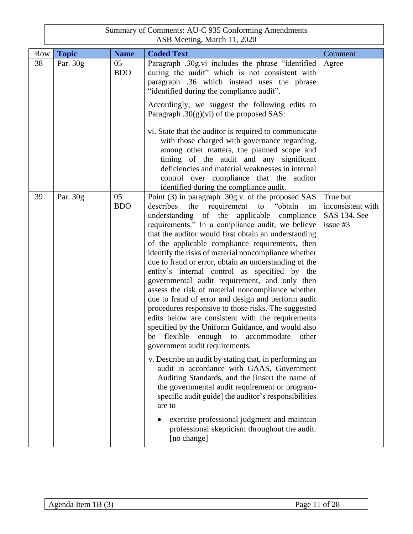|     | Summary of Comments: AU-C 935 Conforming Amendments<br>ASB Meeting, March 11, 2020 |                  |                                                                                                                                                                                                                                                                                                                                                                                                                                                                                                                                                                                                                                                                                                                                                                                                                                                                                                                                                                                                                                                                                                                                                                                                                                                                                                            |                                                             |  |
|-----|------------------------------------------------------------------------------------|------------------|------------------------------------------------------------------------------------------------------------------------------------------------------------------------------------------------------------------------------------------------------------------------------------------------------------------------------------------------------------------------------------------------------------------------------------------------------------------------------------------------------------------------------------------------------------------------------------------------------------------------------------------------------------------------------------------------------------------------------------------------------------------------------------------------------------------------------------------------------------------------------------------------------------------------------------------------------------------------------------------------------------------------------------------------------------------------------------------------------------------------------------------------------------------------------------------------------------------------------------------------------------------------------------------------------------|-------------------------------------------------------------|--|
| Row | <b>Topic</b>                                                                       | <b>Name</b>      | <b>Coded Text</b>                                                                                                                                                                                                                                                                                                                                                                                                                                                                                                                                                                                                                                                                                                                                                                                                                                                                                                                                                                                                                                                                                                                                                                                                                                                                                          | Comment                                                     |  |
| 38  | Par. 30g                                                                           | 05<br><b>BDO</b> | Paragraph .30g.vi includes the phrase "identified<br>during the audit" which is not consistent with<br>paragraph .36 which instead uses the phrase<br>"identified during the compliance audit".<br>Accordingly, we suggest the following edits to<br>Paragraph $.30(g)(vi)$ of the proposed SAS:                                                                                                                                                                                                                                                                                                                                                                                                                                                                                                                                                                                                                                                                                                                                                                                                                                                                                                                                                                                                           | Agree                                                       |  |
|     |                                                                                    |                  | vi. State that the auditor is required to communicate<br>with those charged with governance regarding,<br>among other matters, the planned scope and<br>timing of the audit and any significant<br>deficiencies and material weaknesses in internal<br>control over compliance that the auditor<br>identified during the compliance audit.                                                                                                                                                                                                                                                                                                                                                                                                                                                                                                                                                                                                                                                                                                                                                                                                                                                                                                                                                                 |                                                             |  |
| 39  | Par. 30g                                                                           | 05<br><b>BDO</b> | Point (3) in paragraph .30g.v. of the proposed SAS<br>describes<br>the<br>requirement<br>"obtain<br>to<br>an<br>understanding of the applicable compliance<br>requirements." In a compliance audit, we believe<br>that the auditor would first obtain an understanding<br>of the applicable compliance requirements, then<br>identify the risks of material noncompliance whether<br>due to fraud or error, obtain an understanding of the<br>entity's internal control as specified by the<br>governmental audit requirement, and only then<br>assess the risk of material noncompliance whether<br>due to fraud of error and design and perform audit<br>procedures responsive to those risks. The suggested<br>edits below are consistent with the requirements<br>specified by the Uniform Guidance, and would also<br>flexible<br>enough to accommodate<br>other<br>be<br>government audit requirements.<br>v. Describe an audit by stating that, in performing an<br>audit in accordance with GAAS, Government<br>Auditing Standards, and the [insert the name of<br>the governmental audit requirement or program-<br>specific audit guide] the auditor's responsibilities<br>are to<br>exercise professional judgment and maintain<br>professional skepticism throughout the audit.<br>[no change] | True but<br>inconsistent with<br>SAS 134. See<br>issue $#3$ |  |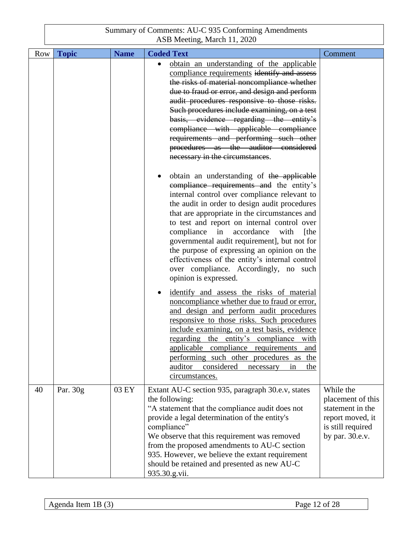| Row | <b>Topic</b> | <b>Name</b> | <b>Coded Text</b>                                                                                                                                                                                                                                                                                                                                                                                                                                                                                                                                        | Comment                                                                                                        |
|-----|--------------|-------------|----------------------------------------------------------------------------------------------------------------------------------------------------------------------------------------------------------------------------------------------------------------------------------------------------------------------------------------------------------------------------------------------------------------------------------------------------------------------------------------------------------------------------------------------------------|----------------------------------------------------------------------------------------------------------------|
|     |              |             | obtain an understanding of the applicable<br>compliance requirements identify and assess<br>the risks of material noncompliance whether<br>due to fraud or error, and design and perform<br>audit procedures responsive to those risks.<br>Such procedures include examining, on a test<br>basis, evidence regarding the entity's<br>compliance with applicable compliance<br>requirements and performing such other<br>procedures as the auditor considered<br>necessary in the circumstances.                                                          |                                                                                                                |
|     |              |             | obtain an understanding of the applicable<br>compliance requirements and the entity's<br>internal control over compliance relevant to<br>the audit in order to design audit procedures<br>that are appropriate in the circumstances and<br>to test and report on internal control over<br>accordance<br>compliance in<br>with<br>[the<br>governmental audit requirement], but not for<br>the purpose of expressing an opinion on the<br>effectiveness of the entity's internal control<br>over compliance. Accordingly, no such<br>opinion is expressed. |                                                                                                                |
|     |              |             | identify and assess the risks of material<br>noncompliance whether due to fraud or error,<br>and design and perform audit procedures<br>responsive to those risks. Such procedures<br>include examining, on a test basis, evidence<br>regarding the entity's compliance with<br>applicable compliance requirements and<br>performing such other procedures as the<br>auditor<br>considered<br>necessary<br>the<br>in<br>circumstances.                                                                                                                   |                                                                                                                |
| 40  | Par. 30g     | 03 EY       | Extant AU-C section 935, paragraph 30.e.v, states<br>the following:<br>"A statement that the compliance audit does not<br>provide a legal determination of the entity's<br>compliance"<br>We observe that this requirement was removed<br>from the proposed amendments to AU-C section<br>935. However, we believe the extant requirement<br>should be retained and presented as new AU-C<br>935.30.g.vii.                                                                                                                                               | While the<br>placement of this<br>statement in the<br>report moved, it<br>is still required<br>by par. 30.e.v. |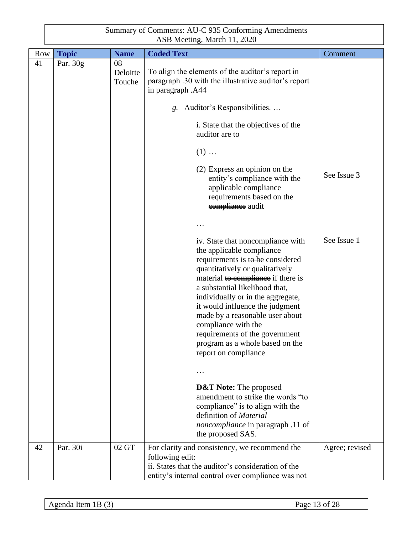| Summary of Comments: AU-C 935 Conforming Amendments |
|-----------------------------------------------------|
| ASB Meeting, March 11, 2020                         |

| <b>Row</b> | <b>Topic</b> | <b>Name</b>              | <b>Coded Text</b>                                                                                                                                                                                                                                                                                                                                                                                                                                 | Comment        |
|------------|--------------|--------------------------|---------------------------------------------------------------------------------------------------------------------------------------------------------------------------------------------------------------------------------------------------------------------------------------------------------------------------------------------------------------------------------------------------------------------------------------------------|----------------|
| 41         | Par. 30g     | 08<br>Deloitte<br>Touche | To align the elements of the auditor's report in<br>paragraph .30 with the illustrative auditor's report<br>in paragraph .A44                                                                                                                                                                                                                                                                                                                     |                |
|            |              |                          | g. Auditor's Responsibilities                                                                                                                                                                                                                                                                                                                                                                                                                     |                |
|            |              |                          | i. State that the objectives of the<br>auditor are to                                                                                                                                                                                                                                                                                                                                                                                             |                |
|            |              |                          | $(1) \ldots$                                                                                                                                                                                                                                                                                                                                                                                                                                      |                |
|            |              |                          | (2) Express an opinion on the<br>entity's compliance with the<br>applicable compliance<br>requirements based on the<br>eompliance audit                                                                                                                                                                                                                                                                                                           | See Issue 3    |
|            |              |                          |                                                                                                                                                                                                                                                                                                                                                                                                                                                   |                |
|            |              |                          | iv. State that noncompliance with<br>the applicable compliance<br>requirements is to be considered<br>quantitatively or qualitatively<br>material to compliance if there is<br>a substantial likelihood that,<br>individually or in the aggregate,<br>it would influence the judgment<br>made by a reasonable user about<br>compliance with the<br>requirements of the government<br>program as a whole based on the<br>report on compliance<br>. | See Issue 1    |
|            |              |                          | <b>D&amp;T Note:</b> The proposed<br>amendment to strike the words "to<br>compliance" is to align with the<br>definition of Material<br><i>noncompliance</i> in paragraph .11 of<br>the proposed SAS.                                                                                                                                                                                                                                             |                |
| 42         | Par. 30i     | 02 GT                    | For clarity and consistency, we recommend the<br>following edit:<br>ii. States that the auditor's consideration of the<br>entity's internal control over compliance was not                                                                                                                                                                                                                                                                       | Agree; revised |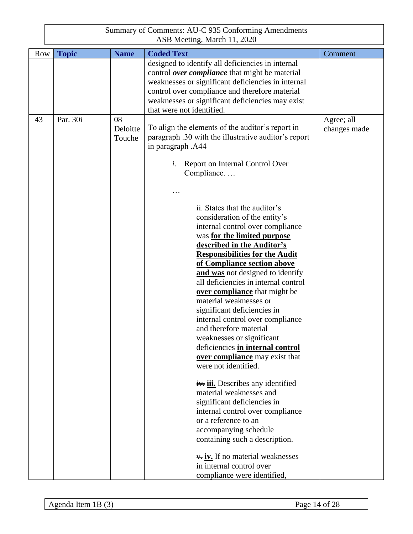|            |              |                          | Summary of Comments: AU-C 935 Conforming Amendments<br>ASB Meeting, March 11, 2020                                                                                                                                                                                                                                                                                                                                                                                                                                                                                                                                                                                                                                                                                                                                                                                                            |                            |
|------------|--------------|--------------------------|-----------------------------------------------------------------------------------------------------------------------------------------------------------------------------------------------------------------------------------------------------------------------------------------------------------------------------------------------------------------------------------------------------------------------------------------------------------------------------------------------------------------------------------------------------------------------------------------------------------------------------------------------------------------------------------------------------------------------------------------------------------------------------------------------------------------------------------------------------------------------------------------------|----------------------------|
| <b>Row</b> | <b>Topic</b> | <b>Name</b>              | <b>Coded Text</b>                                                                                                                                                                                                                                                                                                                                                                                                                                                                                                                                                                                                                                                                                                                                                                                                                                                                             | Comment                    |
|            |              |                          | designed to identify all deficiencies in internal<br>control over compliance that might be material<br>weaknesses or significant deficiencies in internal<br>control over compliance and therefore material<br>weaknesses or significant deficiencies may exist<br>that were not identified.                                                                                                                                                                                                                                                                                                                                                                                                                                                                                                                                                                                                  |                            |
| 43         | Par. 30i     | 08<br>Deloitte<br>Touche | To align the elements of the auditor's report in<br>paragraph .30 with the illustrative auditor's report<br>in paragraph .A44<br>Report on Internal Control Over<br>i.<br>Compliance<br>ii. States that the auditor's<br>consideration of the entity's<br>internal control over compliance<br>was for the limited purpose<br>described in the Auditor's<br><b>Responsibilities for the Audit</b><br>of Compliance section above<br>and was not designed to identify<br>all deficiencies in internal control<br>over compliance that might be<br>material weaknesses or<br>significant deficiencies in<br>internal control over compliance<br>and therefore material<br>weaknesses or significant<br>deficiencies in internal control<br>over compliance may exist that<br>were not identified.<br>iv. iii. Describes any identified<br>material weaknesses and<br>significant deficiencies in | Agree; all<br>changes made |
|            |              |                          | internal control over compliance<br>or a reference to an<br>accompanying schedule<br>containing such a description.<br>$\frac{1}{2}$ iv. If no material weaknesses<br>in internal control over<br>compliance were identified,                                                                                                                                                                                                                                                                                                                                                                                                                                                                                                                                                                                                                                                                 |                            |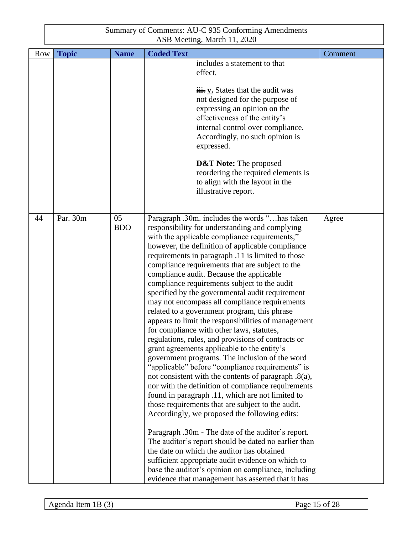| Row | <b>Topic</b> | <b>Name</b>      | <b>Coded Text</b>                                                                                                                                                                                                                                                                                                                                                                                                                                                                                                                                                                                                                                                                                                                                                                                                                                                                                                                                                                                                                                                                                                                                                                                                                                                                                                                                                                                                                                                                | Comment |
|-----|--------------|------------------|----------------------------------------------------------------------------------------------------------------------------------------------------------------------------------------------------------------------------------------------------------------------------------------------------------------------------------------------------------------------------------------------------------------------------------------------------------------------------------------------------------------------------------------------------------------------------------------------------------------------------------------------------------------------------------------------------------------------------------------------------------------------------------------------------------------------------------------------------------------------------------------------------------------------------------------------------------------------------------------------------------------------------------------------------------------------------------------------------------------------------------------------------------------------------------------------------------------------------------------------------------------------------------------------------------------------------------------------------------------------------------------------------------------------------------------------------------------------------------|---------|
|     |              |                  | includes a statement to that<br>effect.<br>$\frac{1}{11}$ v. States that the audit was<br>not designed for the purpose of<br>expressing an opinion on the<br>effectiveness of the entity's<br>internal control over compliance.<br>Accordingly, no such opinion is<br>expressed.<br><b>D&amp;T Note:</b> The proposed<br>reordering the required elements is<br>to align with the layout in the<br>illustrative report.                                                                                                                                                                                                                                                                                                                                                                                                                                                                                                                                                                                                                                                                                                                                                                                                                                                                                                                                                                                                                                                          |         |
| 44  | Par. 30m     | 05<br><b>BDO</b> | Paragraph .30m. includes the words "has taken<br>responsibility for understanding and complying<br>with the applicable compliance requirements;"<br>however, the definition of applicable compliance<br>requirements in paragraph .11 is limited to those<br>compliance requirements that are subject to the<br>compliance audit. Because the applicable<br>compliance requirements subject to the audit<br>specified by the governmental audit requirement<br>may not encompass all compliance requirements<br>related to a government program, this phrase<br>appears to limit the responsibilities of management<br>for compliance with other laws, statutes,<br>regulations, rules, and provisions of contracts or<br>grant agreements applicable to the entity's<br>government programs. The inclusion of the word<br>"applicable" before "compliance requirements" is<br>not consistent with the contents of paragraph .8(a),<br>nor with the definition of compliance requirements<br>found in paragraph .11, which are not limited to<br>those requirements that are subject to the audit.<br>Accordingly, we proposed the following edits:<br>Paragraph .30m - The date of the auditor's report.<br>The auditor's report should be dated no earlier than<br>the date on which the auditor has obtained<br>sufficient appropriate audit evidence on which to<br>base the auditor's opinion on compliance, including<br>evidence that management has asserted that it has | Agree   |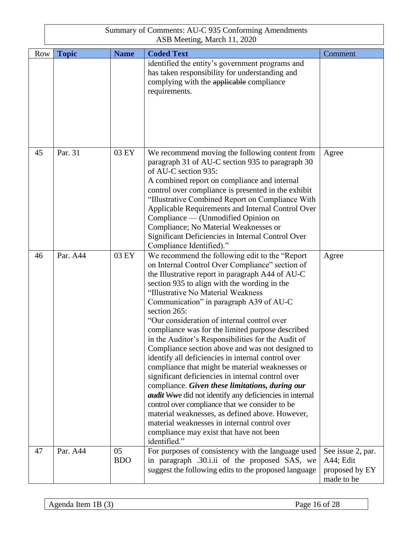| Row | <b>Topic</b> | <b>Name</b>      | <b>Coded Text</b>                                                                                                                                                                                                                                                                                                                                                                                                                                                                                                                                                                                                                                                                                                                                                                                                                                                                                                                                                                                                      | Comment                                                        |
|-----|--------------|------------------|------------------------------------------------------------------------------------------------------------------------------------------------------------------------------------------------------------------------------------------------------------------------------------------------------------------------------------------------------------------------------------------------------------------------------------------------------------------------------------------------------------------------------------------------------------------------------------------------------------------------------------------------------------------------------------------------------------------------------------------------------------------------------------------------------------------------------------------------------------------------------------------------------------------------------------------------------------------------------------------------------------------------|----------------------------------------------------------------|
|     |              |                  | identified the entity's government programs and<br>has taken responsibility for understanding and<br>complying with the applicable compliance<br>requirements.                                                                                                                                                                                                                                                                                                                                                                                                                                                                                                                                                                                                                                                                                                                                                                                                                                                         |                                                                |
| 45  | Par. 31      | 03 EY            | We recommend moving the following content from<br>paragraph 31 of AU-C section 935 to paragraph 30<br>of AU-C section 935:<br>A combined report on compliance and internal<br>control over compliance is presented in the exhibit<br>"Illustrative Combined Report on Compliance With<br>Applicable Requirements and Internal Control Over<br>Compliance — (Unmodified Opinion on<br>Compliance; No Material Weaknesses or<br>Significant Deficiencies in Internal Control Over<br>Compliance Identified)."                                                                                                                                                                                                                                                                                                                                                                                                                                                                                                            | Agree                                                          |
| 46  | Par. A44     | 03 EY            | We recommend the following edit to the "Report<br>on Internal Control Over Compliance" section of<br>the Illustrative report in paragraph A44 of AU-C<br>section 935 to align with the wording in the<br>"Illustrative No Material Weakness<br>Communication" in paragraph A39 of AU-C<br>section 265:<br>"Our consideration of internal control over<br>compliance was for the limited purpose described<br>in the Auditor's Responsibilities for the Audit of<br>Compliance section above and was not designed to<br>identify all deficiencies in internal control over<br>compliance that might be material weaknesses or<br>significant deficiencies in internal control over<br>compliance. Given these limitations, during our<br><i>audit</i> Wwe did not identify any deficiencies in internal<br>control over compliance that we consider to be<br>material weaknesses, as defined above. However,<br>material weaknesses in internal control over<br>compliance may exist that have not been<br>identified." | Agree                                                          |
| 47  | Par. A44     | 05<br><b>BDO</b> | For purposes of consistency with the language used<br>in paragraph .30.i.ii of the proposed SAS, we<br>suggest the following edits to the proposed language                                                                                                                                                                                                                                                                                                                                                                                                                                                                                                                                                                                                                                                                                                                                                                                                                                                            | See issue 2, par.<br>A44; Edit<br>proposed by EY<br>made to be |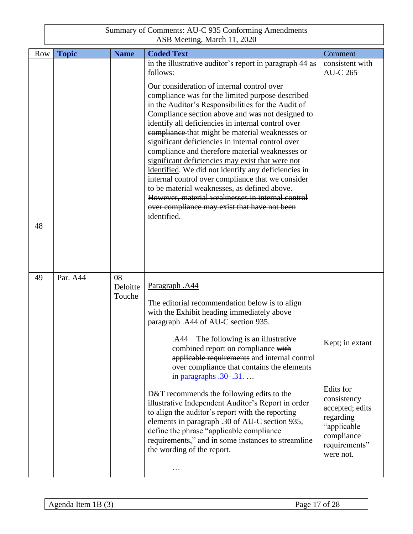|    |            | Summary of Comments: AU-C 935 Conforming Amendments<br>ASB Meeting, March 11, 2020 |                    |                                                                                                                                                                                                                                                                                                                                                                                                                                                                                                                                                                                                                                                                                                                                                                                                                                     |                                                                                                                                        |  |
|----|------------|------------------------------------------------------------------------------------|--------------------|-------------------------------------------------------------------------------------------------------------------------------------------------------------------------------------------------------------------------------------------------------------------------------------------------------------------------------------------------------------------------------------------------------------------------------------------------------------------------------------------------------------------------------------------------------------------------------------------------------------------------------------------------------------------------------------------------------------------------------------------------------------------------------------------------------------------------------------|----------------------------------------------------------------------------------------------------------------------------------------|--|
|    | <b>Row</b> | <b>Topic</b>                                                                       | <b>Name</b>        | <b>Coded Text</b>                                                                                                                                                                                                                                                                                                                                                                                                                                                                                                                                                                                                                                                                                                                                                                                                                   | Comment                                                                                                                                |  |
|    |            |                                                                                    |                    | in the illustrative auditor's report in paragraph 44 as<br>follows:<br>Our consideration of internal control over<br>compliance was for the limited purpose described<br>in the Auditor's Responsibilities for the Audit of<br>Compliance section above and was not designed to<br>identify all deficiencies in internal control over<br>compliance that might be material weaknesses or<br>significant deficiencies in internal control over<br>compliance and therefore material weaknesses or<br>significant deficiencies may exist that were not<br>identified. We did not identify any deficiencies in<br>internal control over compliance that we consider<br>to be material weaknesses, as defined above.<br>However, material weaknesses in internal control<br>over compliance may exist that have not been<br>identified. | consistent with<br><b>AU-C 265</b>                                                                                                     |  |
| 48 |            |                                                                                    |                    |                                                                                                                                                                                                                                                                                                                                                                                                                                                                                                                                                                                                                                                                                                                                                                                                                                     |                                                                                                                                        |  |
| 49 |            | Par. A44                                                                           | 08                 |                                                                                                                                                                                                                                                                                                                                                                                                                                                                                                                                                                                                                                                                                                                                                                                                                                     |                                                                                                                                        |  |
|    |            |                                                                                    | Deloitte<br>Touche | Paragraph .A44<br>The editorial recommendation below is to align<br>with the Exhibit heading immediately above<br>paragraph .A44 of AU-C section 935.<br>.A44 The following is an illustrative<br>combined report on compliance with<br>applicable requirements and internal control<br>over compliance that contains the elements<br>in paragraphs $.30-.31$<br>D&T recommends the following edits to the<br>illustrative Independent Auditor's Report in order<br>to align the auditor's report with the reporting<br>elements in paragraph .30 of AU-C section 935,<br>define the phrase "applicable compliance<br>requirements," and in some instances to streamline<br>the wording of the report.<br>$\ddotsc$                                                                                                                 | Kept; in extant<br>Edits for<br>consistency<br>accepted; edits<br>regarding<br>"applicable<br>compliance<br>requirements"<br>were not. |  |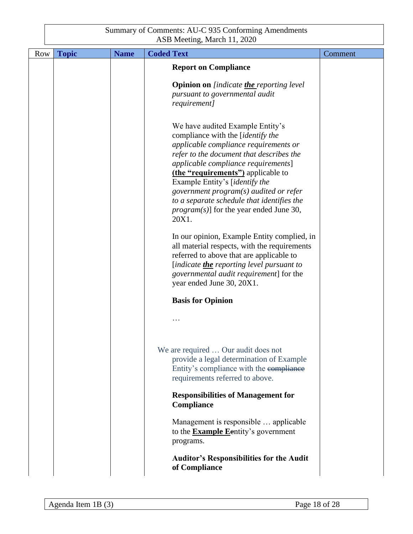| Row | <b>Topic</b> | <b>Name</b> | <b>Coded Text</b>                                                                                                                                                                                                                                                                                                                                                                                                       | Comment |
|-----|--------------|-------------|-------------------------------------------------------------------------------------------------------------------------------------------------------------------------------------------------------------------------------------------------------------------------------------------------------------------------------------------------------------------------------------------------------------------------|---------|
|     |              |             | <b>Report on Compliance</b>                                                                                                                                                                                                                                                                                                                                                                                             |         |
|     |              |             | <b>Opinion on</b> [indicate <b>the_</b> reporting level<br>pursuant to governmental audit<br>requirement]                                                                                                                                                                                                                                                                                                               |         |
|     |              |             | We have audited Example Entity's<br>compliance with the [identify the<br>applicable compliance requirements or<br>refer to the document that describes the<br>applicable compliance requirements]<br>(the "requirements") applicable to<br>Example Entity's [identify the<br>government program(s) audited or refer<br>to a separate schedule that identifies the<br>$program(s)]$ for the year ended June 30,<br>20X1. |         |
|     |              |             | In our opinion, Example Entity complied, in<br>all material respects, with the requirements<br>referred to above that are applicable to<br>[indicate <i>the</i> reporting level pursuant to<br>governmental audit requirement] for the<br>year ended June 30, 20X1.                                                                                                                                                     |         |
|     |              |             | <b>Basis for Opinion</b>                                                                                                                                                                                                                                                                                                                                                                                                |         |
|     |              |             |                                                                                                                                                                                                                                                                                                                                                                                                                         |         |
|     |              |             | We are required  Our audit does not<br>provide a legal determination of Example<br>Entity's compliance with the compliance<br>requirements referred to above.                                                                                                                                                                                                                                                           |         |
|     |              |             | <b>Responsibilities of Management for</b><br>Compliance                                                                                                                                                                                                                                                                                                                                                                 |         |
|     |              |             | Management is responsible  applicable<br>to the <b>Example E</b> entity's government<br>programs.                                                                                                                                                                                                                                                                                                                       |         |
|     |              |             | <b>Auditor's Responsibilities for the Audit</b><br>of Compliance                                                                                                                                                                                                                                                                                                                                                        |         |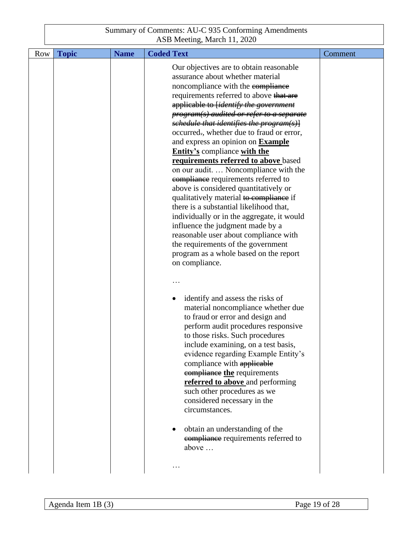| Row | <b>Topic</b> | <b>Name</b> | <b>Coded Text</b>                                                                                                                                                                                                                                                                                                                                                                                                                                                                                                                                                                                                                                                                                                                                                                                                                                                                                                                                              | Comment |
|-----|--------------|-------------|----------------------------------------------------------------------------------------------------------------------------------------------------------------------------------------------------------------------------------------------------------------------------------------------------------------------------------------------------------------------------------------------------------------------------------------------------------------------------------------------------------------------------------------------------------------------------------------------------------------------------------------------------------------------------------------------------------------------------------------------------------------------------------------------------------------------------------------------------------------------------------------------------------------------------------------------------------------|---------|
|     |              |             | Our objectives are to obtain reasonable<br>assurance about whether material<br>noncompliance with the compliance<br>requirements referred to above that are<br>applicable to [ <i>identify the government</i><br>program(s) audited or refer to a separate<br>schedule that identifies the program(s)]<br>occurred., whether due to fraud or error,<br>and express an opinion on <b>Example</b><br><b>Entity's compliance with the</b><br>requirements referred to above based<br>on our audit.  Noncompliance with the<br>compliance requirements referred to<br>above is considered quantitatively or<br>qualitatively material to compliance if<br>there is a substantial likelihood that,<br>individually or in the aggregate, it would<br>influence the judgment made by a<br>reasonable user about compliance with<br>the requirements of the government<br>program as a whole based on the report<br>on compliance.<br>identify and assess the risks of |         |
|     |              |             | material noncompliance whether due<br>to fraud or error and design and<br>perform audit procedures responsive<br>to those risks. Such procedures<br>include examining, on a test basis,<br>evidence regarding Example Entity's<br>compliance with applicable<br>compliance the requirements<br>referred to above and performing<br>such other procedures as we<br>considered necessary in the<br>circumstances.<br>obtain an understanding of the<br><b>eompliance</b> requirements referred to<br>above<br>$\cdots$                                                                                                                                                                                                                                                                                                                                                                                                                                           |         |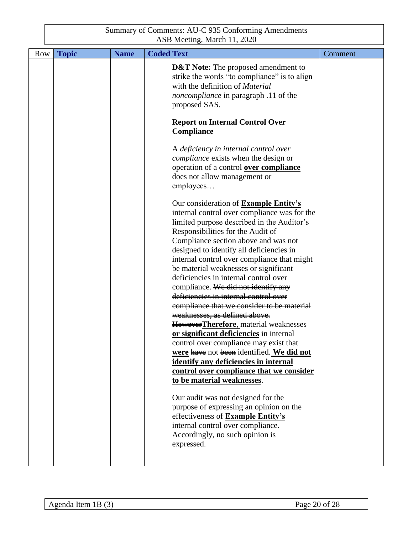| <b>Row</b> | <b>Topic</b> | <b>Name</b> | <b>Coded Text</b>                                                                                                                                                                                                                                                                                                                                                                                                                                                                                                                                                                                                                                                                                                                                                                                                                                                 | Comment |
|------------|--------------|-------------|-------------------------------------------------------------------------------------------------------------------------------------------------------------------------------------------------------------------------------------------------------------------------------------------------------------------------------------------------------------------------------------------------------------------------------------------------------------------------------------------------------------------------------------------------------------------------------------------------------------------------------------------------------------------------------------------------------------------------------------------------------------------------------------------------------------------------------------------------------------------|---------|
|            |              |             | <b>D&amp;T</b> Note: The proposed amendment to<br>strike the words "to compliance" is to align<br>with the definition of Material<br>noncompliance in paragraph .11 of the<br>proposed SAS.                                                                                                                                                                                                                                                                                                                                                                                                                                                                                                                                                                                                                                                                       |         |
|            |              |             | <b>Report on Internal Control Over</b><br>Compliance                                                                                                                                                                                                                                                                                                                                                                                                                                                                                                                                                                                                                                                                                                                                                                                                              |         |
|            |              |             | A deficiency in internal control over<br><i>compliance</i> exists when the design or<br>operation of a control <b>over compliance</b><br>does not allow management or<br>employees                                                                                                                                                                                                                                                                                                                                                                                                                                                                                                                                                                                                                                                                                |         |
|            |              |             | Our consideration of <b>Example Entity's</b><br>internal control over compliance was for the<br>limited purpose described in the Auditor's<br>Responsibilities for the Audit of<br>Compliance section above and was not<br>designed to identify all deficiencies in<br>internal control over compliance that might<br>be material weaknesses or significant<br>deficiencies in internal control over<br>compliance. We did not identify any<br>deficiencies in internal control over<br>compliance that we consider to be material<br>weaknesses, as defined above.<br>HoweverTherefore, material weaknesses<br>or significant deficiencies in internal<br>control over compliance may exist that<br>were have not been identified. We did not<br>identify any deficiencies in internal<br>control over compliance that we consider<br>to be material weaknesses. |         |
|            |              |             | Our audit was not designed for the<br>purpose of expressing an opinion on the<br>effectiveness of Example Entity's<br>internal control over compliance.<br>Accordingly, no such opinion is<br>expressed.                                                                                                                                                                                                                                                                                                                                                                                                                                                                                                                                                                                                                                                          |         |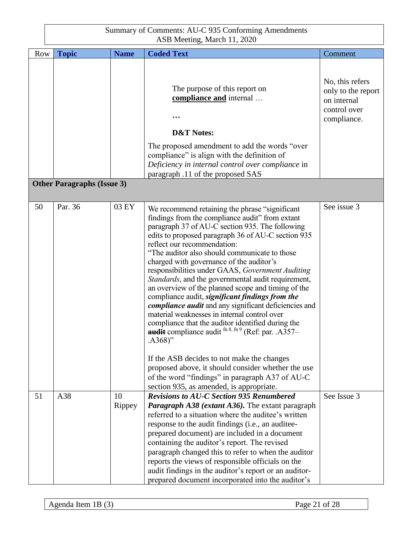| <b>Row</b> | <b>Topic</b>                      | <b>Name</b>  | <b>Coded Text</b>                                                                                                                                                                                                                                                                                                                                                                                                                                                                                                                                                                                                                                                                                                                                                                                                                                                                                                                                                       | Comment                                                                             |
|------------|-----------------------------------|--------------|-------------------------------------------------------------------------------------------------------------------------------------------------------------------------------------------------------------------------------------------------------------------------------------------------------------------------------------------------------------------------------------------------------------------------------------------------------------------------------------------------------------------------------------------------------------------------------------------------------------------------------------------------------------------------------------------------------------------------------------------------------------------------------------------------------------------------------------------------------------------------------------------------------------------------------------------------------------------------|-------------------------------------------------------------------------------------|
|            | <b>Other Paragraphs (Issue 3)</b> |              | The purpose of this report on<br>compliance and internal<br><b>D&amp;T Notes:</b><br>The proposed amendment to add the words "over<br>compliance" is align with the definition of<br>Deficiency in internal control over compliance in<br>paragraph .11 of the proposed SAS                                                                                                                                                                                                                                                                                                                                                                                                                                                                                                                                                                                                                                                                                             | No, this refers<br>only to the report<br>on internal<br>control over<br>compliance. |
|            |                                   |              |                                                                                                                                                                                                                                                                                                                                                                                                                                                                                                                                                                                                                                                                                                                                                                                                                                                                                                                                                                         |                                                                                     |
| 50         | Par. 36                           | 03 EY        | We recommend retaining the phrase "significant"<br>findings from the compliance audit" from extant<br>paragraph 37 of AU-C section 935. The following<br>edits to proposed paragraph 36 of AU-C section 935<br>reflect our recommendation:<br>"The auditor also should communicate to those<br>charged with governance of the auditor's<br>responsibilities under GAAS, Government Auditing<br>Standards, and the governmental audit requirement,<br>an overview of the planned scope and timing of the<br>compliance audit, significant findings from the<br><i>compliance audit</i> and any significant deficiencies and<br>material weaknesses in internal control over<br>compliance that the auditor identified during the<br><b>audit</b> compliance audit $^{fn 8, fn 9}$ (Ref: par. .A357–<br>$(A368)$ "<br>If the ASB decides to not make the changes<br>proposed above, it should consider whether the use<br>of the word "findings" in paragraph A37 of AU-C | See issue 3                                                                         |
| 51         | A38                               | 10<br>Rippey | section 935, as amended, is appropriate.<br><b>Revisions to AU-C Section 935 Renumbered</b><br><b>Paragraph A38 (extant A36).</b> The extant paragraph<br>referred to a situation where the auditee's written<br>response to the audit findings (i.e., an auditee-<br>prepared document) are included in a document<br>containing the auditor's report. The revised<br>paragraph changed this to refer to when the auditor<br>reports the views of responsible officials on the<br>audit findings in the auditor's report or an auditor-<br>prepared document incorporated into the auditor's                                                                                                                                                                                                                                                                                                                                                                           | See Issue 3                                                                         |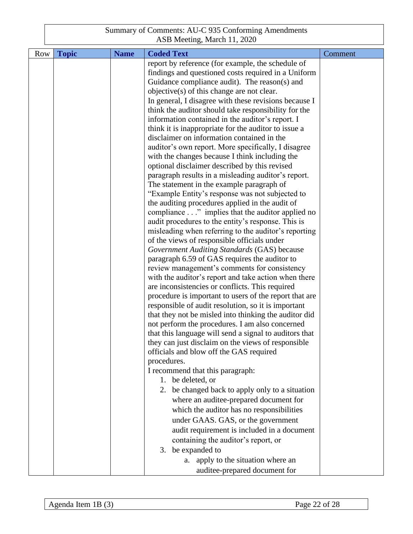| Row | <b>Topic</b> | <b>Name</b> | <b>Coded Text</b>                                                                             | Comment |
|-----|--------------|-------------|-----------------------------------------------------------------------------------------------|---------|
|     |              |             | report by reference (for example, the schedule of                                             |         |
|     |              |             | findings and questioned costs required in a Uniform                                           |         |
|     |              |             | Guidance compliance audit). The reason(s) and                                                 |         |
|     |              |             | objective(s) of this change are not clear.                                                    |         |
|     |              |             | In general, I disagree with these revisions because I                                         |         |
|     |              |             | think the auditor should take responsibility for the                                          |         |
|     |              |             | information contained in the auditor's report. I                                              |         |
|     |              |             | think it is inappropriate for the auditor to issue a                                          |         |
|     |              |             | disclaimer on information contained in the                                                    |         |
|     |              |             | auditor's own report. More specifically, I disagree                                           |         |
|     |              |             | with the changes because I think including the                                                |         |
|     |              |             | optional disclaimer described by this revised                                                 |         |
|     |              |             | paragraph results in a misleading auditor's report.                                           |         |
|     |              |             | The statement in the example paragraph of                                                     |         |
|     |              |             | "Example Entity's response was not subjected to                                               |         |
|     |              |             | the auditing procedures applied in the audit of                                               |         |
|     |              |             | compliance" implies that the auditor applied no                                               |         |
|     |              |             | audit procedures to the entity's response. This is                                            |         |
|     |              |             | misleading when referring to the auditor's reporting                                          |         |
|     |              |             | of the views of responsible officials under                                                   |         |
|     |              |             | Government Auditing Standards (GAS) because                                                   |         |
|     |              |             | paragraph 6.59 of GAS requires the auditor to<br>review management's comments for consistency |         |
|     |              |             | with the auditor's report and take action when there                                          |         |
|     |              |             | are inconsistencies or conflicts. This required                                               |         |
|     |              |             | procedure is important to users of the report that are                                        |         |
|     |              |             | responsible of audit resolution, so it is important                                           |         |
|     |              |             | that they not be misled into thinking the auditor did                                         |         |
|     |              |             | not perform the procedures. I am also concerned                                               |         |
|     |              |             | that this language will send a signal to auditors that                                        |         |
|     |              |             | they can just disclaim on the views of responsible                                            |         |
|     |              |             | officials and blow off the GAS required                                                       |         |
|     |              |             | procedures.                                                                                   |         |
|     |              |             | I recommend that this paragraph:                                                              |         |
|     |              |             | 1. be deleted, or                                                                             |         |
|     |              |             | 2. be changed back to apply only to a situation                                               |         |
|     |              |             | where an auditee-prepared document for                                                        |         |
|     |              |             | which the auditor has no responsibilities                                                     |         |
|     |              |             | under GAAS. GAS, or the government                                                            |         |
|     |              |             | audit requirement is included in a document                                                   |         |
|     |              |             | containing the auditor's report, or                                                           |         |
|     |              |             |                                                                                               |         |
|     |              |             | 3. be expanded to                                                                             |         |
|     |              |             | a. apply to the situation where an                                                            |         |
|     |              |             | auditee-prepared document for                                                                 |         |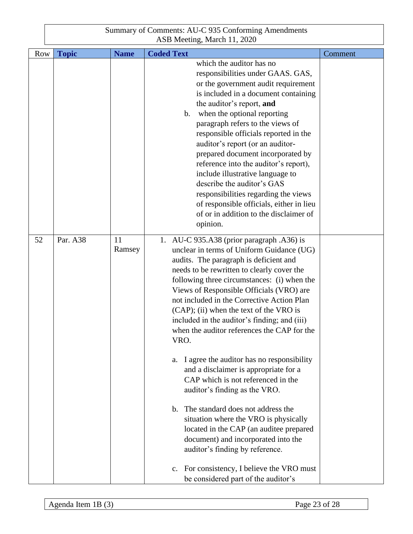| Row | <b>Topic</b> | <b>Name</b>  | <b>Coded Text</b>                                                                                                                                                                                                                                                                                                                                                                                                                                                                                                                                                                                                                                                                                                                                                                                                                                  | Comment |
|-----|--------------|--------------|----------------------------------------------------------------------------------------------------------------------------------------------------------------------------------------------------------------------------------------------------------------------------------------------------------------------------------------------------------------------------------------------------------------------------------------------------------------------------------------------------------------------------------------------------------------------------------------------------------------------------------------------------------------------------------------------------------------------------------------------------------------------------------------------------------------------------------------------------|---------|
|     |              |              | which the auditor has no<br>responsibilities under GAAS. GAS,<br>or the government audit requirement<br>is included in a document containing<br>the auditor's report, and<br>b. when the optional reporting<br>paragraph refers to the views of<br>responsible officials reported in the<br>auditor's report (or an auditor-<br>prepared document incorporated by<br>reference into the auditor's report),<br>include illustrative language to<br>describe the auditor's GAS<br>responsibilities regarding the views<br>of responsible officials, either in lieu<br>of or in addition to the disclaimer of<br>opinion.                                                                                                                                                                                                                             |         |
| 52  | Par. A38     | 11<br>Ramsey | 1. AU-C 935.A38 (prior paragraph .A36) is<br>unclear in terms of Uniform Guidance (UG)<br>audits. The paragraph is deficient and<br>needs to be rewritten to clearly cover the<br>following three circumstances: (i) when the<br>Views of Responsible Officials (VRO) are<br>not included in the Corrective Action Plan<br>(CAP); (ii) when the text of the VRO is<br>included in the auditor's finding; and (iii)<br>when the auditor references the CAP for the<br>VRO.<br>I agree the auditor has no responsibility<br>a.<br>and a disclaimer is appropriate for a<br>CAP which is not referenced in the<br>auditor's finding as the VRO.<br>b. The standard does not address the<br>situation where the VRO is physically<br>located in the CAP (an auditee prepared<br>document) and incorporated into the<br>auditor's finding by reference. |         |
|     |              |              | For consistency, I believe the VRO must<br>$\mathbf{c}$ .<br>be considered part of the auditor's                                                                                                                                                                                                                                                                                                                                                                                                                                                                                                                                                                                                                                                                                                                                                   |         |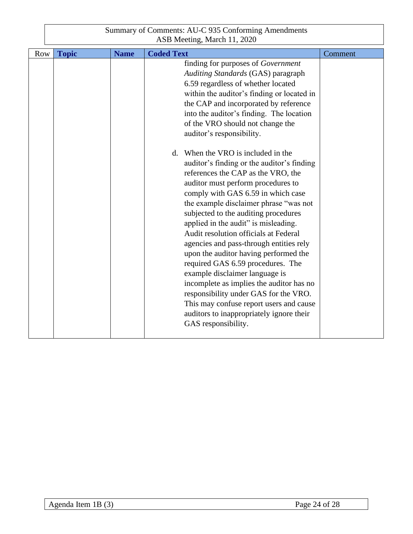| Row | <b>Topic</b> | <b>Name</b> | <b>Coded Text</b>                                                                                                                                                                                                                                                                                                                                                                                                                                                                                                                                                                                                                                                                                                                                                                                                                                                                                                                                                                                                                                         | Comment |
|-----|--------------|-------------|-----------------------------------------------------------------------------------------------------------------------------------------------------------------------------------------------------------------------------------------------------------------------------------------------------------------------------------------------------------------------------------------------------------------------------------------------------------------------------------------------------------------------------------------------------------------------------------------------------------------------------------------------------------------------------------------------------------------------------------------------------------------------------------------------------------------------------------------------------------------------------------------------------------------------------------------------------------------------------------------------------------------------------------------------------------|---------|
|     |              |             | finding for purposes of Government<br>Auditing Standards (GAS) paragraph<br>6.59 regardless of whether located<br>within the auditor's finding or located in<br>the CAP and incorporated by reference<br>into the auditor's finding. The location<br>of the VRO should not change the<br>auditor's responsibility.<br>d. When the VRO is included in the<br>auditor's finding or the auditor's finding<br>references the CAP as the VRO, the<br>auditor must perform procedures to<br>comply with GAS 6.59 in which case<br>the example disclaimer phrase "was not<br>subjected to the auditing procedures<br>applied in the audit" is misleading.<br>Audit resolution officials at Federal<br>agencies and pass-through entities rely<br>upon the auditor having performed the<br>required GAS 6.59 procedures. The<br>example disclaimer language is<br>incomplete as implies the auditor has no<br>responsibility under GAS for the VRO.<br>This may confuse report users and cause<br>auditors to inappropriately ignore their<br>GAS responsibility. |         |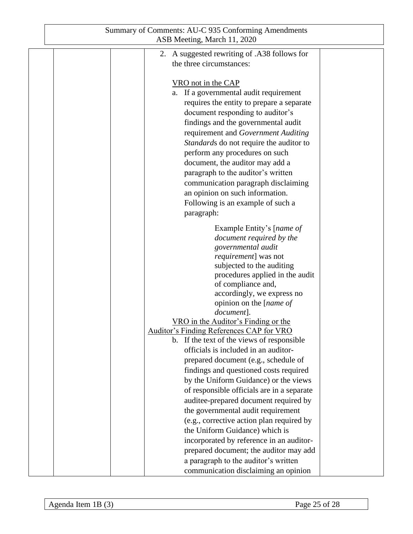| Summary of Comments: AU-C 935 Conforming Amendments<br>ASB Meeting, March 11, 2020                                                                                                                                                                                                                                                                                                                                                                                                                                                                                                                                                 |  |
|------------------------------------------------------------------------------------------------------------------------------------------------------------------------------------------------------------------------------------------------------------------------------------------------------------------------------------------------------------------------------------------------------------------------------------------------------------------------------------------------------------------------------------------------------------------------------------------------------------------------------------|--|
| 2. A suggested rewriting of .A38 follows for<br>the three circumstances:                                                                                                                                                                                                                                                                                                                                                                                                                                                                                                                                                           |  |
| VRO not in the CAP<br>a. If a governmental audit requirement<br>requires the entity to prepare a separate<br>document responding to auditor's<br>findings and the governmental audit<br>requirement and Government Auditing<br>Standards do not require the auditor to<br>perform any procedures on such<br>document, the auditor may add a<br>paragraph to the auditor's written<br>communication paragraph disclaiming<br>an opinion on such information.<br>Following is an example of such a<br>paragraph:                                                                                                                     |  |
| Example Entity's [ <i>name of</i><br>document required by the<br>governmental audit<br><i>requirement</i> ] was not<br>subjected to the auditing<br>procedures applied in the audit<br>of compliance and,<br>accordingly, we express no<br>opinion on the [name of<br>document].<br>VRO in the Auditor's Finding or the<br>Auditor's Finding References CAP for VRO<br>b. If the text of the views of responsible<br>officials is included in an auditor-<br>prepared document (e.g., schedule of<br>findings and questioned costs required<br>by the Uniform Guidance) or the views<br>of responsible officials are in a separate |  |
| auditee-prepared document required by<br>the governmental audit requirement<br>(e.g., corrective action plan required by<br>the Uniform Guidance) which is<br>incorporated by reference in an auditor-<br>prepared document; the auditor may add<br>a paragraph to the auditor's written<br>communication disclaiming an opinion                                                                                                                                                                                                                                                                                                   |  |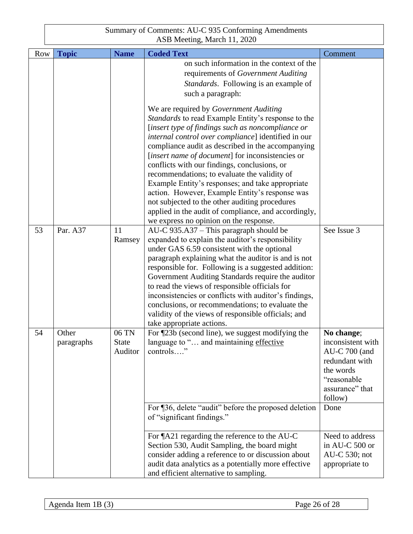| <b>Row</b> | <b>Topic</b>        | <b>Name</b>                      | <b>Coded Text</b>                                                                                                                                                                                                                                                                                                                                                                                                                                                                                                                                                                                                                                                           | Comment                                                                                                                        |
|------------|---------------------|----------------------------------|-----------------------------------------------------------------------------------------------------------------------------------------------------------------------------------------------------------------------------------------------------------------------------------------------------------------------------------------------------------------------------------------------------------------------------------------------------------------------------------------------------------------------------------------------------------------------------------------------------------------------------------------------------------------------------|--------------------------------------------------------------------------------------------------------------------------------|
|            |                     |                                  | on such information in the context of the<br>requirements of Government Auditing<br>Standards. Following is an example of<br>such a paragraph:                                                                                                                                                                                                                                                                                                                                                                                                                                                                                                                              |                                                                                                                                |
|            |                     |                                  | We are required by Government Auditing<br>Standards to read Example Entity's response to the<br>[insert type of findings such as noncompliance or<br>internal control over compliance] identified in our<br>compliance audit as described in the accompanying<br>[insert name of document] for inconsistencies or<br>conflicts with our findings, conclusions, or<br>recommendations; to evaluate the validity of<br>Example Entity's responses; and take appropriate<br>action. However, Example Entity's response was<br>not subjected to the other auditing procedures<br>applied in the audit of compliance, and accordingly,<br>we express no opinion on the response. |                                                                                                                                |
| 53         | Par. A37            | 11<br>Ramsey                     | $AU-C$ 935.A37 – This paragraph should be<br>expanded to explain the auditor's responsibility<br>under GAS 6.59 consistent with the optional<br>paragraph explaining what the auditor is and is not<br>responsible for. Following is a suggested addition:<br>Government Auditing Standards require the auditor<br>to read the views of responsible officials for<br>inconsistencies or conflicts with auditor's findings,<br>conclusions, or recommendations; to evaluate the<br>validity of the views of responsible officials; and<br>take appropriate actions.                                                                                                          | See Issue 3                                                                                                                    |
| 54         | Other<br>paragraphs | 06 TN<br><b>State</b><br>Auditor | For ¶23b (second line), we suggest modifying the<br>language to " and maintaining effective<br>controls"                                                                                                                                                                                                                                                                                                                                                                                                                                                                                                                                                                    | No change;<br>inconsistent with<br>$AU-C$ 700 (and<br>redundant with<br>the words<br>"reasonable<br>assurance" that<br>follow) |
|            |                     |                                  | For ¶36, delete "audit" before the proposed deletion<br>of "significant findings."                                                                                                                                                                                                                                                                                                                                                                                                                                                                                                                                                                                          | Done                                                                                                                           |
|            |                     |                                  | For ¶A21 regarding the reference to the AU-C<br>Section 530, Audit Sampling, the board might<br>consider adding a reference to or discussion about<br>audit data analytics as a potentially more effective<br>and efficient alternative to sampling.                                                                                                                                                                                                                                                                                                                                                                                                                        | Need to address<br>in AU-C 500 or<br>AU-C 530; not<br>appropriate to                                                           |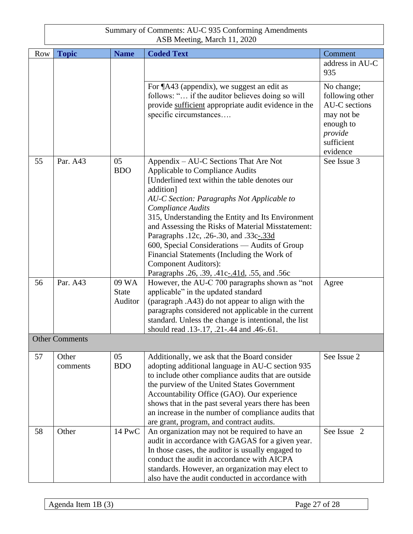| <b>Row</b> | <b>Topic</b>          | <b>Name</b>  | <b>Coded Text</b>                                                                                           | Comment         |
|------------|-----------------------|--------------|-------------------------------------------------------------------------------------------------------------|-----------------|
|            |                       |              |                                                                                                             | address in AU-C |
|            |                       |              |                                                                                                             | 935             |
|            |                       |              | For ¶A43 (appendix), we suggest an edit as                                                                  | No change;      |
|            |                       |              | follows: " if the auditor believes doing so will                                                            | following other |
|            |                       |              | provide sufficient appropriate audit evidence in the                                                        | AU-C sections   |
|            |                       |              | specific circumstances                                                                                      | may not be      |
|            |                       |              |                                                                                                             | enough to       |
|            |                       |              |                                                                                                             | provide         |
|            |                       |              |                                                                                                             | sufficient      |
|            |                       |              |                                                                                                             | evidence        |
| 55         | Par. A43              | 05           | Appendix – AU-C Sections That Are Not                                                                       | See Issue 3     |
|            |                       | <b>BDO</b>   | Applicable to Compliance Audits                                                                             |                 |
|            |                       |              | [Underlined text within the table denotes our                                                               |                 |
|            |                       |              | addition]                                                                                                   |                 |
|            |                       |              | AU-C Section: Paragraphs Not Applicable to<br><b>Compliance Audits</b>                                      |                 |
|            |                       |              | 315, Understanding the Entity and Its Environment                                                           |                 |
|            |                       |              | and Assessing the Risks of Material Misstatement:                                                           |                 |
|            |                       |              | Paragraphs .12c, .26-.30, and .33c-.33d                                                                     |                 |
|            |                       |              | 600, Special Considerations - Audits of Group                                                               |                 |
|            |                       |              | Financial Statements (Including the Work of                                                                 |                 |
|            |                       |              | <b>Component Auditors):</b>                                                                                 |                 |
|            |                       |              | Paragraphs .26, .39, .41c-.41d, .55, and .56c                                                               |                 |
| 56         | Par. A43              | 09 WA        | However, the AU-C 700 paragraphs shown as "not                                                              | Agree           |
|            |                       | <b>State</b> | applicable" in the updated standard                                                                         |                 |
|            |                       | Auditor      | (paragraph .A43) do not appear to align with the                                                            |                 |
|            |                       |              | paragraphs considered not applicable in the current<br>standard. Unless the change is intentional, the list |                 |
|            |                       |              | should read .13-.17, .21-.44 and .46-.61.                                                                   |                 |
|            | <b>Other Comments</b> |              |                                                                                                             |                 |
|            |                       |              |                                                                                                             |                 |
| 57         | Other                 | 05           | Additionally, we ask that the Board consider                                                                | See Issue 2     |
|            | comments              | <b>BDO</b>   | adopting additional language in AU-C section 935                                                            |                 |
|            |                       |              | to include other compliance audits that are outside                                                         |                 |
|            |                       |              | the purview of the United States Government                                                                 |                 |
|            |                       |              | Accountability Office (GAO). Our experience                                                                 |                 |
|            |                       |              | shows that in the past several years there has been                                                         |                 |
|            |                       |              | an increase in the number of compliance audits that                                                         |                 |
| 58         | Other                 | 14 PwC       | are grant, program, and contract audits.<br>An organization may not be required to have an                  | See Issue 2     |
|            |                       |              | audit in accordance with GAGAS for a given year.                                                            |                 |
|            |                       |              | In those cases, the auditor is usually engaged to                                                           |                 |
|            |                       |              | conduct the audit in accordance with AICPA                                                                  |                 |
|            |                       |              | standards. However, an organization may elect to                                                            |                 |
|            |                       |              | also have the audit conducted in accordance with                                                            |                 |